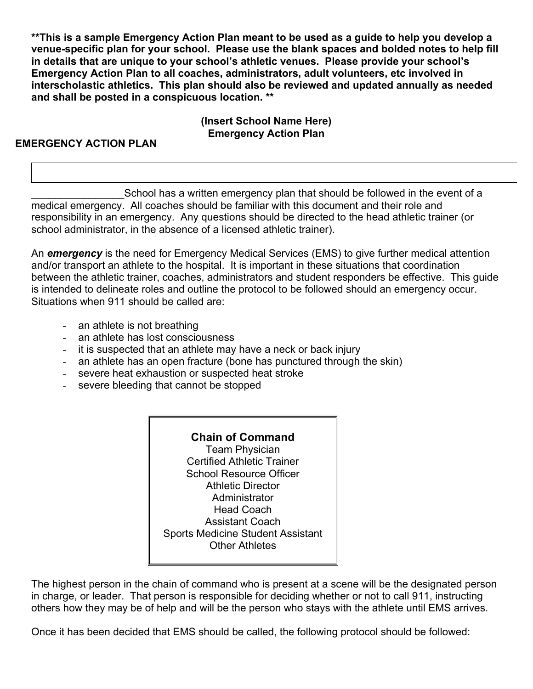**\*\*This is a sample Emergency Action Plan meant to be used as a guide to help you develop a venue-specific plan for your school. Please use the blank spaces and bolded notes to help fill in details that are unique to your school's athletic venues. Please provide your school's Emergency Action Plan to all coaches, administrators, adult volunteers, etc involved in interscholastic athletics. This plan should also be reviewed and updated annually as needed and shall be posted in a conspicuous location. \*\***

# **(Insert School Name Here) Emergency Action Plan**

# **EMERGENCY ACTION PLAN**

School has a written emergency plan that should be followed in the event of a medical emergency. All coaches should be familiar with this document and their role and responsibility in an emergency. Any questions should be directed to the head athletic trainer (or school administrator, in the absence of a licensed athletic trainer).

An *emergency* is the need for Emergency Medical Services (EMS) to give further medical attention and/or transport an athlete to the hospital. It is important in these situations that coordination between the athletic trainer, coaches, administrators and student responders be effective. This guide is intended to delineate roles and outline the protocol to be followed should an emergency occur. Situations when 911 should be called are:

- an athlete is not breathing
- an athlete has lost consciousness
- it is suspected that an athlete may have a neck or back injury
- an athlete has an open fracture (bone has punctured through the skin)
- severe heat exhaustion or suspected heat stroke
- severe bleeding that cannot be stopped

## **Chain of Command**

Team Physician Certified Athletic Trainer School Resource Officer Athletic Director **Administrator** Head Coach Assistant Coach Sports Medicine Student Assistant Other Athletes

The highest person in the chain of command who is present at a scene will be the designated person in charge, or leader. That person is responsible for deciding whether or not to call 911, instructing others how they may be of help and will be the person who stays with the athlete until EMS arrives.

Once it has been decided that EMS should be called, the following protocol should be followed: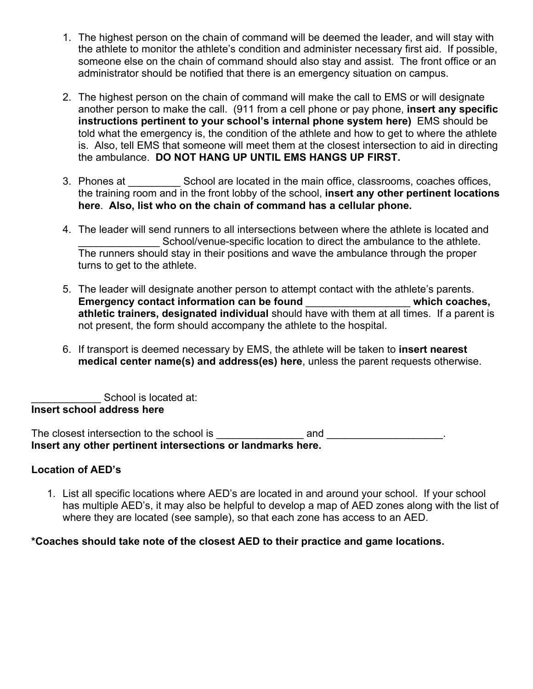- 1. The highest person on the chain of command will be deemed the leader, and will stay with the athlete to monitor the athlete's condition and administer necessary first aid. If possible, someone else on the chain of command should also stay and assist. The front office or an administrator should be notified that there is an emergency situation on campus.
- 2. The highest person on the chain of command will make the call to EMS or will designate another person to make the call. (911 from a cell phone or pay phone, **insert any specific instructions pertinent to your school's internal phone system here)** EMS should be told what the emergency is, the condition of the athlete and how to get to where the athlete is. Also, tell EMS that someone will meet them at the closest intersection to aid in directing the ambulance. **DO NOT HANG UP UNTIL EMS HANGS UP FIRST.**
- 3. Phones at School are located in the main office, classrooms, coaches offices, the training room and in the front lobby of the school, **insert any other pertinent locations here**. **Also, list who on the chain of command has a cellular phone.**
- 4. The leader will send runners to all intersections between where the athlete is located and School/venue-specific location to direct the ambulance to the athlete. The runners should stay in their positions and wave the ambulance through the proper turns to get to the athlete.
- 5. The leader will designate another person to attempt contact with the athlete's parents. **Emergency contact information can be found** \_\_\_\_\_\_\_\_\_\_\_\_\_\_\_\_\_\_ **which coaches, athletic trainers, designated individual** should have with them at all times. If a parent is not present, the form should accompany the athlete to the hospital.
- 6. If transport is deemed necessary by EMS, the athlete will be taken to **insert nearest medical center name(s) and address(es) here**, unless the parent requests otherwise.

School is located at: **Insert school address here**

The closest intersection to the school is \_\_\_\_\_\_\_\_\_\_\_\_\_\_\_ and \_\_\_\_\_\_\_\_\_\_\_\_\_\_\_\_\_\_\_\_. **Insert any other pertinent intersections or landmarks here.**

## **Location of AED's**

1. List all specific locations where AED's are located in and around your school. If your school has multiple AED's, it may also be helpful to develop a map of AED zones along with the list of where they are located (see sample), so that each zone has access to an AED.

## **\*Coaches should take note of the closest AED to their practice and game locations.**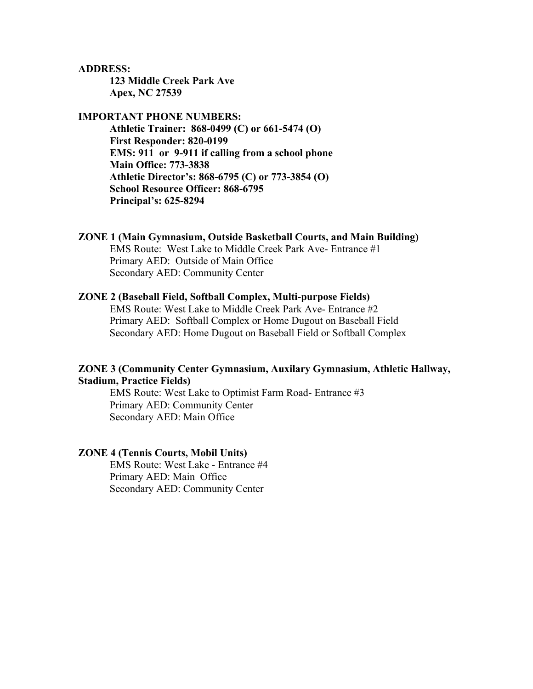#### **ADDRESS:**

**123 Middle Creek Park Ave Apex, NC 27539**

### **IMPORTANT PHONE NUMBERS:**

**Athletic Trainer: 868-0499 (C) or 661-5474 (O) First Responder: 820-0199 EMS: 911 or 9-911 if calling from a school phone Main Office: 773-3838 Athletic Director's: 868-6795 (C) or 773-3854 (O) School Resource Officer: 868-6795 Principal's: 625-8294**

### **ZONE 1 (Main Gymnasium, Outside Basketball Courts, and Main Building)**

EMS Route: West Lake to Middle Creek Park Ave- Entrance #1 Primary AED: Outside of Main Office Secondary AED: Community Center

### **ZONE 2 (Baseball Field, Softball Complex, Multi-purpose Fields)**

EMS Route: West Lake to Middle Creek Park Ave- Entrance #2 Primary AED: Softball Complex or Home Dugout on Baseball Field Secondary AED: Home Dugout on Baseball Field or Softball Complex

### **ZONE 3 (Community Center Gymnasium, Auxilary Gymnasium, Athletic Hallway, Stadium, Practice Fields)**

EMS Route: West Lake to Optimist Farm Road- Entrance #3 Primary AED: Community Center Secondary AED: Main Office

### **ZONE 4 (Tennis Courts, Mobil Units)**

EMS Route: West Lake - Entrance #4 Primary AED: Main Office Secondary AED: Community Center